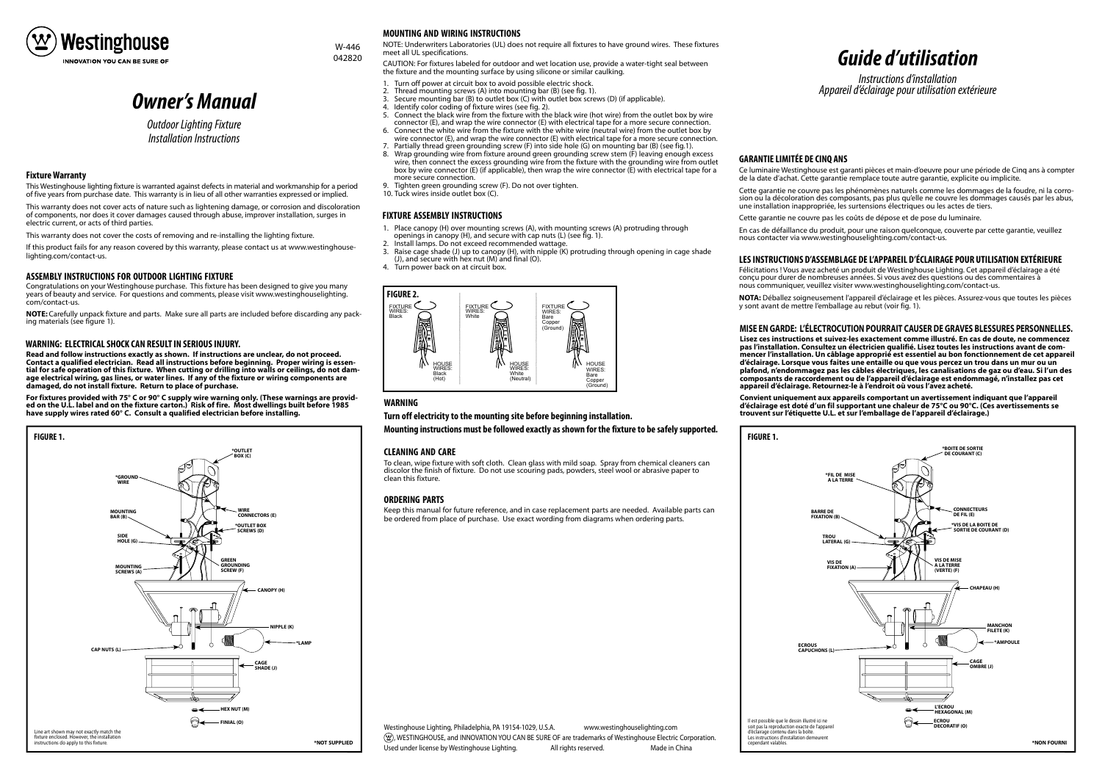#### **MOUNTING AND WIRING INSTRUCTIONS**

NOTE: Underwriters Laboratories (UL) does not require all fixtures to have ground wires. These fixtures meet all UL specifications.

CAUTION: For fixtures labeled for outdoor and wet location use, provide a water-tight seal between the fixture and the mounting surface by using silicone or similar caulking.

- 1. Turn off power at circuit box to avoid possible electric shock.
- 2. Thread mounting screws (A) into mounting bar (B) (see fig. 1).<br>
3. Secure mounting bar (B) to outlet box (C) with outlet box scre
- 3. Secure mounting bar (B) to outlet box (C) with outlet box screws (D) (if applicable).<br>4. Identify color coding of fixture wires (see fig. 2).
- 4. Identify color coding of fixture wires (see fig. 2).<br>5. Connect the black wire from the fixture with the
- 5. Connect the black wire from the fixture with the black wire (hot wire) from the outlet box by wire connector (E), and wrap the wire connector (E) with electrical tape for a more secure connection.<br>
6 Connect the white wire from the fixture with the white wire (neutral wire) from the outlet box by
- 6. Connect the white wire from the fixture with the white wire (neutral wire) from the outlet box by wire connector (E), and wrap the wire connector (E) with electrical tape for a more secure connection.
- 7. Partially thread green grounding screw (F) into side hole (G) on mounting bar (B) (see fig.1).<br>8. Wrap grounding wire from fixture around green grounding screw stem (F) leaving enough excess
- wire, then connect the excess grounding wire from the fixture with the grounding wire from outlet<br>box by wire connector (E) (if applicable), then wrap the wire connector (E) with electrical tape for a<br>more secure connectio
- 9. Tighten green grounding screw (F). Do not over tighten.
- 10. Tuck wires inside outlet box (C).

#### **FIXTURE ASSEMBLY INSTRUCTIONS**

- 1. Place canopy (H) over mounting screws (A), with mounting screws (A) protruding through openings in canopy (H), and secure with cap nuts (L) (see fig. 1).
- 2. Install lamps. Do not exceed recommended wattage.<br>3. Raise cage shade (1) up to canopy (H), with nipple (K
- Raise cage shade (J) up to canopy (H), with nipple (K) protruding through opening in cage shade (J), and secure with hex nut (M) and final (O).
- 4. Turn power back on at circuit box.

#### **WARNING**

**Turn off electricity to the mounting site before beginning installation.**

**Mounting instructions must be followed exactly as shown for the fixture to be safely supported.**

#### **CLEANING AND CARE**

To clean, wipe fixture with soft cloth. Clean glass with mild soap. Spray from chemical cleaners can discolor the finish of fixture. Do not use scouring pads, powders, steel wool or abrasive paper to clean this fixture.

#### **ORDERING PARTS**

Keep this manual for future reference, and in case replacement parts are needed. Available parts can be ordered from place of purchase. Use exact wording from diagrams when ordering parts.



Westinghouse Lighting, Philadelphia, PA 19154-1029, U.S.A. www.westinghouselighting.com  $\mathcal{P}(\mathfrak{D})$ , WESTINGHOUSE, and INNOVATION YOU CAN BE SURE OF are trademarks of Westinghouse Electric Corporation. Used under license by Westinghouse Lighting. All rights reserved. Made in China





| <b>FIGURE 1.</b> |                                        |
|------------------|----------------------------------------|
|                  | *FIL D<br>A LA                         |
|                  | <b>BARRE DE</b><br><b>FIXATION (B)</b> |
|                  | <b>TROU</b><br>LATERA                  |
|                  | VIS D<br><b>FIXAT</b>                  |
|                  |                                        |

Il est possible que le dessin illustré ici ne soit pas la reproduction exacte de l'appareil d'éclairage contenu dans la boîte. Les instructions d'installation demeurent cependant valables.

W-446 042820

#### **WARNING: ELECTRICAL SHOCK CAN RESULT IN SERIOUS INJURY.**

**Read and follow instructions exactly as shown. If instructions are unclear, do not proceed. Contact a qualified electrician. Read all instructions before beginning. Proper wiring is essential for safe operation of this fixture. When cutting or drilling into walls or ceilings, do not damage electrical wiring, gas lines, or water lines. If any of the fixture or wiring components are damaged, do not install fixture. Return to place of purchase.**

**For fixtures provided with 75° C or 90° C supply wire warning only. (These warnings are provided on the U.L. label and on the fixture carton.) Risk of fire. Most dwellings built before 1985 have supply wires rated 60° C. Consult a qualified electrician before installing.**



*Owner's Manual*

*Outdoor Lighting Fixture Installation Instructions*

#### **ASSEMBLY INSTRUCTIONS FOR OUTDOOR LIGHTING FIXTURE**

Congratulations on your Westinghouse purchase. This fixture has been designed to give you many years of beauty and service. For questions and comments, please visit www.westinghouselighting. com/contact-us.

**NOTE:** Carefully unpack fixture and parts. Make sure all parts are included before discarding any pack- ing materials (see figure 1).

#### **Fixture Warranty**

This Westinghouse lighting fixture is warranted against defects in material and workmanship for a period of five years from purchase date. This warranty is in lieu of all other warranties expressed or implied.

This warranty does not cover acts of nature such as lightening damage, or corrosion and discoloration of components, nor does it cover damages caused through abuse, improver installation, surges in electric current, or acts of third parties.

This warranty does not cover the costs of removing and re-installing the lighting fixture.

If this product fails for any reason covered by this warranty, please contact us at www.westinghouselighting.com/contact-us.

# *Guide d'utilisation*

*Instructions d'installation Appareil d'éclairage pour utilisation extérieure*

### **MISE EN GARDE: L'ÉLECTROCUTION POURRAIT CAUSER DE GRAVES BLESSURES PERSONNELLES.**

**Lisez ces instructions et suivez-les exactement comme illustré. En cas de doute, ne commencez pas l'installation. Consultez un électricien qualifié. Lisez toutes les instructions avant de commencer l'installation. Un câblage approprié est essentiel au bon fonctionnement de cet appareil d'éclairage. Lorsque vous faites une entaille ou que vous percez un trou dans un mur ou un plafond, n'endommagez pas les câbles électriques, les canalisations de gaz ou d'eau. Si l'un des composants de raccordement ou de l'appareil d'éclairage est endommagé, n'installez pas cet appareil d'éclairage. Retournez-le à l'endroit où vous l'avez acheté.**

**Convient uniquement aux appareils comportant un avertissement indiquant que l'appareil d'éclairage est doté d'un fil supportant une chaleur de 75°C ou 90°C. (Ces avertissements se trouvent sur l'étiquette U.L. et sur l'emballage de l'appareil d'éclairage.)**

### **LES INSTRUCTIONS D'ASSEMBLAGE DE L'APPAREIL D'ÉCLAIRAGE POUR UTILISATION EXTÉRIEURE**

Félicitations ! Vous avez acheté un produit de Westinghouse Lighting. Cet appareil d'éclairage a été conçu pour durer de nombreuses années. Si vous avez des questions ou des commentaires à nous communiquer, veuillez visiter www.westinghouselighting.com/contact-us.

**NOTA:** Déballez soigneusement l'appareil d'éclairage et les pièces. Assurez-vous que toutes les pièces y sont avant de mettre l'emballage au rebut (voir fig. 1).

# **GARANTIE LIMITÉE DE CINQ ANS**

Ce luminaire Westinghouse est garanti pièces et main-d'oeuvre pour une période de Cinq ans à compter de la date d'achat. Cette garantie remplace toute autre garantie, explicite ou implicite.

Cette garantie ne couvre pas les phénomènes naturels comme les dommages de la foudre, ni la corro- sion ou la décoloration des composants, pas plus qu'elle ne couvre les dommages causés par les abus, une installation inappropriée, les surtensions électriques ou les actes de tiers.

Cette garantie ne couvre pas les coûts de dépose et de pose du luminaire.

En cas de défaillance du produit, pour une raison quelconque, couverte par cette garantie, veuillez nous contacter via www.westinghouselighting.com/contact-us.